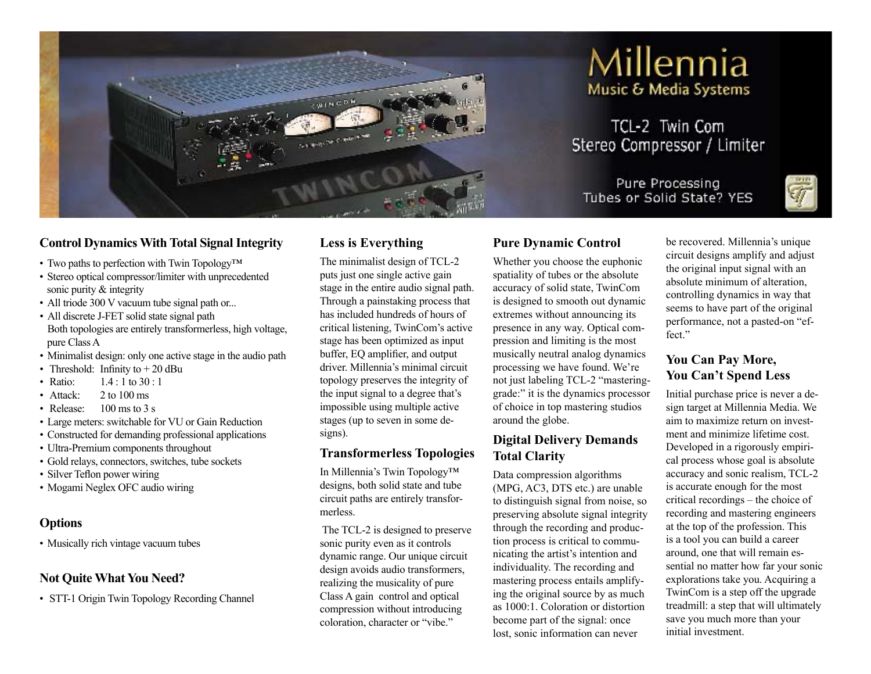

# Millennia Music & Media Systems

TCL-2 Twin Com Stereo Compressor / Limiter

Pure Processing Tubes or Solid State? YES



#### **Control Dynamics With Total Signal Integrity**

- Two paths to perfection with Twin Topology<sup>TM</sup>
- Stereo optical compressor/limiter with unprecedented sonic purity & integrity
- All triode 300 V vacuum tube signal path or...
- All discrete J-FET solid state signal path Both topologies are entirely transformerless, high voltage, pure Class A
- Minimalist design: only one active stage in the audio path
- Threshold: Infinity to  $+ 20$  dBu
- Ratio: 1.4 : 1 to 30 : 1
- Attack:  $2 \text{ to } 100 \text{ ms}$
- Release:  $100 \text{ ms}$  to 3 s
- Large meters: switchable for VU or Gain Reduction
- Constructed for demanding professional applications
- Ultra-Premium components throughout
- Gold relays, connectors, switches, tube sockets
- Silver Teflon power wiring
- Mogami Neglex OFC audio wiring

#### **Options**

• Musically rich vintage vacuum tubes

### **Not Quite What You Need?**

• STT-1 Origin Twin Topology Recording Channel

# **Less is Everything**

The minimalist design of TCL-2 puts just one single active gain stage in the entire audio signal path. Through a painstaking process that has included hundreds of hours of critical listening, TwinCom's active stage has been optimized as input buffer, EQ amplifier, and output driver. Millennia's minimal circuit topology preserves the integrity of the input signal to a degree that's impossible using multiple active stages (up to seven in some designs).

### **Transformerless Topologies**

In Millennia's Twin Topology™ designs, both solid state and tube circuit paths are entirely transformerless.

The TCL-2 is designed to preserve sonic purity even as it controls dynamic range. Our unique circuit design avoids audio transformers, realizing the musicality of pure Class A gain control and optical compression without introducing coloration, character or "vibe."

### **Pure Dynamic Control**

Whether you choose the euphonic spatiality of tubes or the absolute accuracy of solid state, TwinCom is designed to smooth out dynamic extremes without announcing its presence in any way. Optical compression and limiting is the most musically neutral analog dynamics processing we have found. We're not just labeling TCL-2 "masteringgrade:" it is the dynamics processor of choice in top mastering studios around the globe.

#### **Digital Delivery Demands Total Clarity**

Data compression algorithms (MPG, AC3, DTS etc.) are unable to distinguish signal from noise, so preserving absolute signal integrity through the recording and production process is critical to communicating the artist's intention and individuality. The recording and mastering process entails amplifying the original source by as much as 1000:1. Coloration or distortion become part of the signal: once lost, sonic information can never

be recovered. Millennia's unique circuit designs amplify and adjust the original input signal with an absolute minimum of alteration, controlling dynamics in way that seems to have part of the original performance, not a pasted-on "effect."

# **You Can Pay More, You Can't Spend Less**

Initial purchase price is never a design target at Millennia Media. We aim to maximize return on investment and minimize lifetime cost. Developed in a rigorously empirical process whose goal is absolute accuracy and sonic realism, TCL-2 is accurate enough for the most critical recordings – the choice of recording and mastering engineers at the top of the profession. This is a tool you can build a career around, one that will remain essential no matter how far your sonic explorations take you. Acquiring a TwinCom is a step off the upgrade treadmill: a step that will ultimately save you much more than your initial investment.